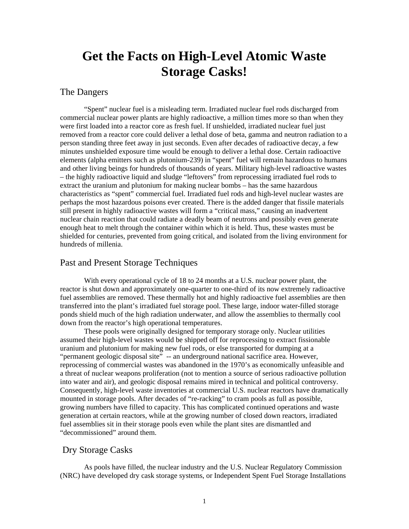# **Get the Facts on High-Level Atomic Waste Storage Casks!**

#### The Dangers

"Spent" nuclear fuel is a misleading term. Irradiated nuclear fuel rods discharged from commercial nuclear power plants are highly radioactive, a million times more so than when they were first loaded into a reactor core as fresh fuel. If unshielded, irradiated nuclear fuel just removed from a reactor core could deliver a lethal dose of beta, gamma and neutron radiation to a person standing three feet away in just seconds. Even after decades of radioactive decay, a few minutes unshielded exposure time would be enough to deliver a lethal dose. Certain radioactive elements (alpha emitters such as plutonium-239) in "spent" fuel will remain hazardous to humans and other living beings for hundreds of thousands of years. Military high-level radioactive wastes – the highly radioactive liquid and sludge "leftovers" from reprocessing irradiated fuel rods to extract the uranium and plutonium for making nuclear bombs – has the same hazardous characteristics as "spent" commercial fuel. Irradiated fuel rods and high-level nuclear wastes are perhaps the most hazardous poisons ever created. There is the added danger that fissile materials still present in highly radioactive wastes will form a "critical mass," causing an inadvertent nuclear chain reaction that could radiate a deadly beam of neutrons and possibly even generate enough heat to melt through the container within which it is held. Thus, these wastes must be shielded for centuries, prevented from going critical, and isolated from the living environment for hundreds of millenia.

# Past and Present Storage Techniques

With every operational cycle of 18 to 24 months at a U.S. nuclear power plant, the reactor is shut down and approximately one-quarter to one-third of its now extremely radioactive fuel assemblies are removed. These thermally hot and highly radioactive fuel assemblies are then transferred into the plant's irradiated fuel storage pool. These large, indoor water-filled storage ponds shield much of the high radiation underwater, and allow the assemblies to thermally cool down from the reactor's high operational temperatures.

These pools were originally designed for temporary storage only. Nuclear utilities assumed their high-level wastes would be shipped off for reprocessing to extract fissionable uranium and plutonium for making new fuel rods, or else transported for dumping at a "permanent geologic disposal site" -- an underground national sacrifice area. However, reprocessing of commercial wastes was abandoned in the 1970's as economically unfeasible and a threat of nuclear weapons proliferation (not to mention a source of serious radioactive pollution into water and air), and geologic disposal remains mired in technical and political controversy. Consequently, high-level waste inventories at commercial U.S. nuclear reactors have dramatically mounted in storage pools. After decades of "re-racking" to cram pools as full as possible, growing numbers have filled to capacity. This has complicated continued operations and waste generation at certain reactors, while at the growing number of closed down reactors, irradiated fuel assemblies sit in their storage pools even while the plant sites are dismantled and "decommissioned" around them.

#### Dry Storage Casks

As pools have filled, the nuclear industry and the U.S. Nuclear Regulatory Commission (NRC) have developed dry cask storage systems, or Independent Spent Fuel Storage Installations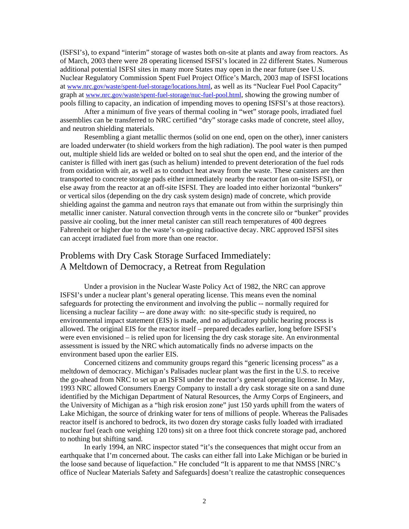(ISFSI's), to expand "interim" storage of wastes both on-site at plants and away from reactors. As of March, 2003 there were 28 operating licensed ISFSI's located in 22 different States. Numerous additional potential ISFSI sites in many more States may open in the near future (see U.S. Nuclear Regulatory Commission Spent Fuel Project Office's March, 2003 map of ISFSI locations at [www.nrc.gov/waste/spent-fuel-storage/locations.html](http://www.nrc.gov/waste/spent-fuel-storage/locations.html), as well as its "Nuclear Fuel Pool Capacity" graph at [www.nrc.gov/waste/spent-fuel-storage/nuc-fuel-pool.html](http://www.nrc.gov/waste/spent-fuel-storage/nuc-fuel-pool.html), showing the growing number of pools filling to capacity, an indication of impending moves to opening ISFSI's at those reactors).

After a minimum of five years of thermal cooling in "wet" storage pools, irradiated fuel assemblies can be transferred to NRC certified "dry" storage casks made of concrete, steel alloy, and neutron shielding materials.

Resembling a giant metallic thermos (solid on one end, open on the other), inner canisters are loaded underwater (to shield workers from the high radiation). The pool water is then pumped out, multiple shield lids are welded or bolted on to seal shut the open end, and the interior of the canister is filled with inert gas (such as helium) intended to prevent deterioration of the fuel rods from oxidation with air, as well as to conduct heat away from the waste. These canisters are then transported to concrete storage pads either immediately nearby the reactor (an on-site ISFSI), or else away from the reactor at an off-site ISFSI. They are loaded into either horizontal "bunkers" or vertical silos (depending on the dry cask system design) made of concrete, which provide shielding against the gamma and neutron rays that emanate out from within the surprisingly thin metallic inner canister. Natural convection through vents in the concrete silo or "bunker" provides passive air cooling, but the inner metal canister can still reach temperatures of 400 degrees Fahrenheit or higher due to the waste's on-going radioactive decay. NRC approved ISFSI sites can accept irradiated fuel from more than one reactor.

### Problems with Dry Cask Storage Surfaced Immediately: A Meltdown of Democracy, a Retreat from Regulation

Under a provision in the Nuclear Waste Policy Act of 1982, the NRC can approve ISFSI's under a nuclear plant's general operating license. This means even the nominal safeguards for protecting the environment and involving the public -- normally required for licensing a nuclear facility -- are done away with: no site-specific study is required, no environmental impact statement (EIS) is made, and no adjudicatory public hearing process is allowed. The original EIS for the reactor itself – prepared decades earlier, long before ISFSI's were even envisioned – is relied upon for licensing the dry cask storage site. An environmental assessment is issued by the NRC which automatically finds no adverse impacts on the environment based upon the earlier EIS.

Concerned citizens and community groups regard this "generic licensing process" as a meltdown of democracy. Michigan's Palisades nuclear plant was the first in the U.S. to receive the go-ahead from NRC to set up an ISFSI under the reactor's general operating license. In May, 1993 NRC allowed Consumers Energy Company to install a dry cask storage site on a sand dune identified by the Michigan Department of Natural Resources, the Army Corps of Engineers, and the University of Michigan as a "high risk erosion zone" just 150 yards uphill from the waters of Lake Michigan, the source of drinking water for tens of millions of people. Whereas the Palisades reactor itself is anchored to bedrock, its two dozen dry storage casks fully loaded with irradiated nuclear fuel (each one weighing 120 tons) sit on a three foot thick concrete storage pad, anchored to nothing but shifting sand.

In early 1994, an NRC inspector stated "it's the consequences that might occur from an earthquake that I'm concerned about. The casks can either fall into Lake Michigan or be buried in the loose sand because of liquefaction." He concluded "It is apparent to me that NMSS [NRC's office of Nuclear Materials Safety and Safeguards] doesn't realize the catastrophic consequences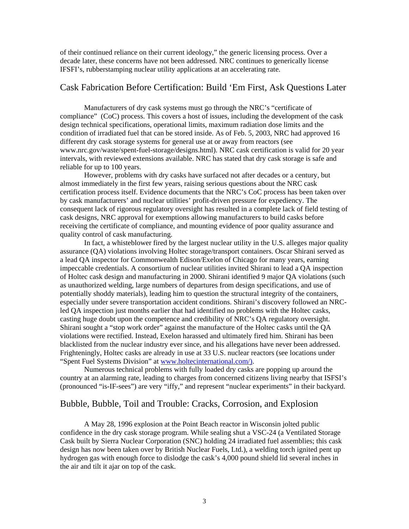of their continued reliance on their current ideology," the generic licensing process. Over a decade later, these concerns have not been addressed. NRC continues to generically license IFSFI's, rubberstamping nuclear utility applications at an accelerating rate.

#### Cask Fabrication Before Certification: Build 'Em First, Ask Questions Later

Manufacturers of dry cask systems must go through the NRC's "certificate of compliance" (CoC) process. This covers a host of issues, including the development of the cask design technical specifications, operational limits, maximum radiation dose limits and the condition of irradiated fuel that can be stored inside. As of Feb. 5, 2003, NRC had approved 16 different dry cask storage systems for general use at or away from reactors (see www.nrc.gov/waste/spent-fuel-storage/designs.html). NRC cask certification is valid for 20 year intervals, with reviewed extensions available. NRC has stated that dry cask storage is safe and reliable for up to 100 years.

However, problems with dry casks have surfaced not after decades or a century, but almost immediately in the first few years, raising serious questions about the NRC cask certification process itself. Evidence documents that the NRC's CoC process has been taken over by cask manufacturers' and nuclear utilities' profit-driven pressure for expediency. The consequent lack of rigorous regulatory oversight has resulted in a complete lack of field testing of cask designs, NRC approval for exemptions allowing manufacturers to build casks before receiving the certificate of compliance, and mounting evidence of poor quality assurance and quality control of cask manufacturing.

In fact, a whisteblower fired by the largest nuclear utility in the U.S. alleges major quality assurance (QA) violations involving Holtec storage/transport containers. Oscar Shirani served as a lead QA inspector for Commonwealth Edison/Exelon of Chicago for many years, earning impeccable credentials. A consortium of nuclear utilities invited Shirani to lead a QA inspection of Holtec cask design and manufacturing in 2000. Shirani identified 9 major QA violations (such as unauthorized welding, large numbers of departures from design specifications, and use of potentially shoddy materials), leading him to question the structural integrity of the containers, especially under severe transportation accident conditions. Shirani's discovery followed an NRCled QA inspection just months earlier that had identified no problems with the Holtec casks, casting huge doubt upon the competence and credibility of NRC's QA regulatory oversight. Shirani sought a "stop work order" against the manufacture of the Holtec casks until the QA violations were rectified. Instead, Exelon harassed and ultimately fired him. Shirani has been blacklisted from the nuclear industry ever since, and his allegations have never been addressed. Frighteningly, Holtec casks are already in use at 33 U.S. nuclear reactors (see locations under "Spent Fuel Systems Division" at [www.holtecinternational.com/\).](http://www.holtecinternational.com/))

Numerous technical problems with fully loaded dry casks are popping up around the country at an alarming rate, leading to charges from concerned citizens living nearby that ISFSI's (pronounced "is-IF-sees") are very "iffy," and represent "nuclear experiments" in their backyard.

#### Bubble, Bubble, Toil and Trouble: Cracks, Corrosion, and Explosion

A May 28, 1996 explosion at the Point Beach reactor in Wisconsin jolted public confidence in the dry cask storage program. While sealing shut a VSC-24 (a Ventilated Storage Cask built by Sierra Nuclear Corporation (SNC) holding 24 irradiated fuel assemblies; this cask design has now been taken over by British Nuclear Fuels, Ltd.), a welding torch ignited pent up hydrogen gas with enough force to dislodge the cask's 4,000 pound shield lid several inches in the air and tilt it ajar on top of the cask.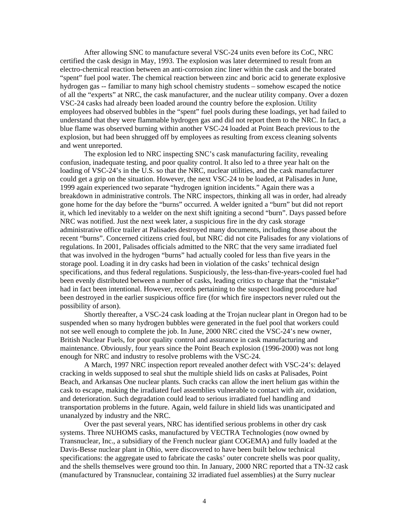After allowing SNC to manufacture several VSC-24 units even before its CoC, NRC certified the cask design in May, 1993. The explosion was later determined to result from an electro-chemical reaction between an anti-corrosion zinc liner within the cask and the borated "spent" fuel pool water. The chemical reaction between zinc and boric acid to generate explosive hydrogen gas -- familiar to many high school chemistry students – somehow escaped the notice of all the "experts" at NRC, the cask manufacturer, and the nuclear utility company. Over a dozen VSC-24 casks had already been loaded around the country before the explosion. Utility employees had observed bubbles in the "spent" fuel pools during these loadings, yet had failed to understand that they were flammable hydrogen gas and did not report them to the NRC. In fact, a blue flame was observed burning within another VSC-24 loaded at Point Beach previous to the explosion, but had been shrugged off by employees as resulting from excess cleaning solvents and went unreported.

The explosion led to NRC inspecting SNC's cask manufacturing facility, revealing confusion, inadequate testing, and poor quality control. It also led to a three year halt on the loading of VSC-24's in the U.S. so that the NRC, nuclear utilities, and the cask manufacturer could get a grip on the situation. However, the next VSC-24 to be loaded, at Palisades in June, 1999 again experienced two separate "hydrogen ignition incidents." Again there was a breakdown in administrative controls. The NRC inspectors, thinking all was in order, had already gone home for the day before the "burns" occurred. A welder ignited a "burn" but did not report it, which led inevitably to a welder on the next shift igniting a second "burn". Days passed before NRC was notified. Just the next week later, a suspicious fire in the dry cask storage administrative office trailer at Palisades destroyed many documents, including those about the recent "burns". Concerned citizens cried foul, but NRC did not cite Palisades for any violations of regulations. In 2001, Palisades officials admitted to the NRC that the very same irradiated fuel that was involved in the hydrogen "burns" had actually cooled for less than five years in the storage pool. Loading it in dry casks had been in violation of the casks' technical design specifications, and thus federal regulations. Suspiciously, the less-than-five-years-cooled fuel had been evenly distributed between a number of casks, leading critics to charge that the "mistake" had in fact been intentional. However, records pertaining to the suspect loading procedure had been destroyed in the earlier suspicious office fire (for which fire inspectors never ruled out the possibility of arson).

Shortly thereafter, a VSC-24 cask loading at the Trojan nuclear plant in Oregon had to be suspended when so many hydrogen bubbles were generated in the fuel pool that workers could not see well enough to complete the job. In June, 2000 NRC cited the VSC-24's new owner, British Nuclear Fuels, for poor quality control and assurance in cask manufacturing and maintenance. Obviously, four years since the Point Beach explosion (1996-2000) was not long enough for NRC and industry to resolve problems with the VSC-24.

A March, 1997 NRC inspection report revealed another defect with VSC-24's: delayed cracking in welds supposed to seal shut the multiple shield lids on casks at Palisades, Point Beach, and Arkansas One nuclear plants. Such cracks can allow the inert helium gas within the cask to escape, making the irradiated fuel assemblies vulnerable to contact with air, oxidation, and deterioration. Such degradation could lead to serious irradiated fuel handling and transportation problems in the future. Again, weld failure in shield lids was unanticipated and unanalyzed by industry and the NRC.

Over the past several years, NRC has identified serious problems in other dry cask systems. Three NUHOMS casks, manufactured by VECTRA Technologies (now owned by Transnuclear, Inc., a subsidiary of the French nuclear giant COGEMA) and fully loaded at the Davis-Besse nuclear plant in Ohio, were discovered to have been built below technical specifications: the aggregate used to fabricate the casks' outer concrete shells was poor quality, and the shells themselves were ground too thin. In January, 2000 NRC reported that a TN-32 cask (manufactured by Transnuclear, containing 32 irradiated fuel assemblies) at the Surry nuclear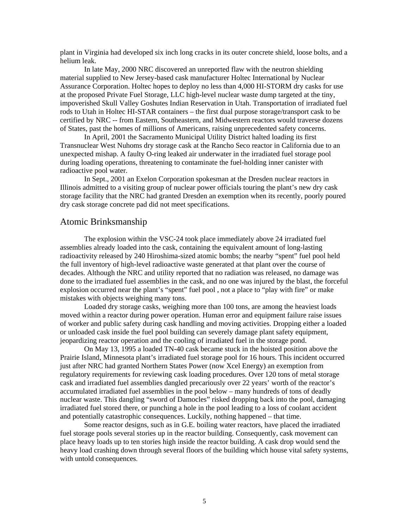plant in Virginia had developed six inch long cracks in its outer concrete shield, loose bolts, and a helium leak.

In late May, 2000 NRC discovered an unreported flaw with the neutron shielding material supplied to New Jersey-based cask manufacturer Holtec International by Nuclear Assurance Corporation. Holtec hopes to deploy no less than 4,000 HI-STORM dry casks for use at the proposed Private Fuel Storage, LLC high-level nuclear waste dump targeted at the tiny, impoverished Skull Valley Goshutes Indian Reservation in Utah. Transportation of irradiated fuel rods to Utah in Holtec HI-STAR containers – the first dual purpose storage/transport cask to be certified by NRC -- from Eastern, Southeastern, and Midwestern reactors would traverse dozens of States, past the homes of millions of Americans, raising unprecedented safety concerns.

In April, 2001 the Sacramento Municipal Utility District halted loading its first Transnuclear West Nuhoms dry storage cask at the Rancho Seco reactor in California due to an unexpected mishap. A faulty O-ring leaked air underwater in the irradiated fuel storage pool during loading operations, threatening to contaminate the fuel-holding inner canister with radioactive pool water.

In Sept., 2001 an Exelon Corporation spokesman at the Dresden nuclear reactors in Illinois admitted to a visiting group of nuclear power officials touring the plant's new dry cask storage facility that the NRC had granted Dresden an exemption when its recently, poorly poured dry cask storage concrete pad did not meet specifications.

#### Atomic Brinksmanship

The explosion within the VSC-24 took place immediately above 24 irradiated fuel assemblies already loaded into the cask, containing the equivalent amount of long-lasting radioactivity released by 240 Hiroshima-sized atomic bombs; the nearby "spent" fuel pool held the full inventory of high-level radioactive waste generated at that plant over the course of decades. Although the NRC and utility reported that no radiation was released, no damage was done to the irradiated fuel assemblies in the cask, and no one was injured by the blast, the forceful explosion occurred near the plant's "spent" fuel pool , not a place to "play with fire" or make mistakes with objects weighing many tons.

Loaded dry storage casks, weighing more than 100 tons, are among the heaviest loads moved within a reactor during power operation. Human error and equipment failure raise issues of worker and public safety during cask handling and moving activities. Dropping either a loaded or unloaded cask inside the fuel pool building can severely damage plant safety equipment, jeopardizing reactor operation and the cooling of irradiated fuel in the storage pond.

On May 13, 1995 a loaded TN-40 cask became stuck in the hoisted position above the Prairie Island, Minnesota plant's irradiated fuel storage pool for 16 hours. This incident occurred just after NRC had granted Northern States Power (now Xcel Energy) an exemption from regulatory requirements for reviewing cask loading procedures. Over 120 tons of metal storage cask and irradiated fuel assemblies dangled precariously over 22 years' worth of the reactor's accumulated irradiated fuel assemblies in the pool below – many hundreds of tons of deadly nuclear waste. This dangling "sword of Damocles" risked dropping back into the pool, damaging irradiated fuel stored there, or punching a hole in the pool leading to a loss of coolant accident and potentially catastrophic consequences. Luckily, nothing happened – that time.

Some reactor designs, such as in G.E. boiling water reactors, have placed the irradiated fuel storage pools several stories up in the reactor building. Consequently, cask movement can place heavy loads up to ten stories high inside the reactor building. A cask drop would send the heavy load crashing down through several floors of the building which house vital safety systems, with untold consequences.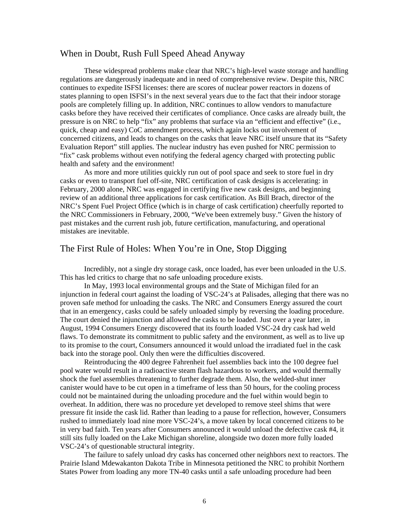#### When in Doubt, Rush Full Speed Ahead Anyway

These widespread problems make clear that NRC's high-level waste storage and handling regulations are dangerously inadequate and in need of comprehensive review. Despite this, NRC continues to expedite ISFSI licenses: there are scores of nuclear power reactors in dozens of states planning to open ISFSI's in the next several years due to the fact that their indoor storage pools are completely filling up. In addition, NRC continues to allow vendors to manufacture casks before they have received their certificates of compliance. Once casks are already built, the pressure is on NRC to help "fix" any problems that surface via an "efficient and effective" (i.e., quick, cheap and easy) CoC amendment process, which again locks out involvement of concerned citizens, and leads to changes on the casks that leave NRC itself unsure that its "Safety Evaluation Report" still applies. The nuclear industry has even pushed for NRC permission to "fix" cask problems without even notifying the federal agency charged with protecting public health and safety and the environment!

As more and more utilities quickly run out of pool space and seek to store fuel in dry casks or even to transport fuel off-site, NRC certification of cask designs is accelerating: in February, 2000 alone, NRC was engaged in certifying five new cask designs, and beginning review of an additional three applications for cask certification. As Bill Brach, director of the NRC's Spent Fuel Project Office (which is in charge of cask certification) cheerfully reported to the NRC Commissioners in February, 2000, "We've been extremely busy." Given the history of past mistakes and the current rush job, future certification, manufacturing, and operational mistakes are inevitable.

#### The First Rule of Holes: When You're in One, Stop Digging

Incredibly, not a single dry storage cask, once loaded, has ever been unloaded in the U.S. This has led critics to charge that no safe unloading procedure exists.

In May, 1993 local environmental groups and the State of Michigan filed for an injunction in federal court against the loading of VSC-24's at Palisades, alleging that there was no proven safe method for unloading the casks. The NRC and Consumers Energy assured the court that in an emergency, casks could be safely unloaded simply by reversing the loading procedure. The court denied the injunction and allowed the casks to be loaded. Just over a year later, in August, 1994 Consumers Energy discovered that its fourth loaded VSC-24 dry cask had weld flaws. To demonstrate its commitment to public safety and the environment, as well as to live up to its promise to the court, Consumers announced it would unload the irradiated fuel in the cask back into the storage pool. Only then were the difficulties discovered.

Reintroducing the 400 degree Fahrenheit fuel assemblies back into the 100 degree fuel pool water would result in a radioactive steam flash hazardous to workers, and would thermally shock the fuel assemblies threatening to further degrade them. Also, the welded-shut inner canister would have to be cut open in a timeframe of less than 50 hours, for the cooling process could not be maintained during the unloading procedure and the fuel within would begin to overheat. In addition, there was no procedure yet developed to remove steel shims that were pressure fit inside the cask lid. Rather than leading to a pause for reflection, however, Consumers rushed to immediately load nine more VSC-24's, a move taken by local concerned citizens to be in very bad faith. Ten years after Consumers announced it would unload the defective cask #4, it still sits fully loaded on the Lake Michigan shoreline, alongside two dozen more fully loaded VSC-24's of questionable structural integrity.

The failure to safely unload dry casks has concerned other neighbors next to reactors. The Prairie Island Mdewakanton Dakota Tribe in Minnesota petitioned the NRC to prohibit Northern States Power from loading any more TN-40 casks until a safe unloading procedure had been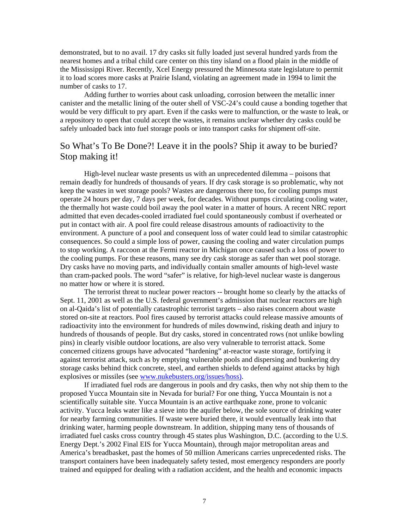demonstrated, but to no avail. 17 dry casks sit fully loaded just several hundred yards from the nearest homes and a tribal child care center on this tiny island on a flood plain in the middle of the Mississippi River. Recently, Xcel Energy pressured the Minnesota state legislature to permit it to load scores more casks at Prairie Island, violating an agreement made in 1994 to limit the number of casks to 17.

Adding further to worries about cask unloading, corrosion between the metallic inner canister and the metallic lining of the outer shell of VSC-24's could cause a bonding together that would be very difficult to pry apart. Even if the casks were to malfunction, or the waste to leak, or a repository to open that could accept the wastes, it remains unclear whether dry casks could be safely unloaded back into fuel storage pools or into transport casks for shipment off-site.

## So What's To Be Done?! Leave it in the pools? Ship it away to be buried? Stop making it!

High-level nuclear waste presents us with an unprecedented dilemma – poisons that remain deadly for hundreds of thousands of years. If dry cask storage is so problematic, why not keep the wastes in wet storage pools? Wastes are dangerous there too, for cooling pumps must operate 24 hours per day, 7 days per week, for decades. Without pumps circulating cooling water, the thermally hot waste could boil away the pool water in a matter of hours. A recent NRC report admitted that even decades-cooled irradiated fuel could spontaneously combust if overheated or put in contact with air. A pool fire could release disastrous amounts of radioactivity to the environment. A puncture of a pool and consequent loss of water could lead to similar catastrophic consequences. So could a simple loss of power, causing the cooling and water circulation pumps to stop working. A raccoon at the Fermi reactor in Michigan once caused such a loss of power to the cooling pumps. For these reasons, many see dry cask storage as safer than wet pool storage. Dry casks have no moving parts, and individually contain smaller amounts of high-level waste than cram-packed pools. The word "safer" is relative, for high-level nuclear waste is dangerous no matter how or where it is stored.

The terrorist threat to nuclear power reactors -- brought home so clearly by the attacks of Sept. 11, 2001 as well as the U.S. federal government's admission that nuclear reactors are high on al-Qaida's list of potentially catastrophic terrorist targets – also raises concern about waste stored on-site at reactors. Pool fires caused by terrorist attacks could release massive amounts of radioactivity into the environment for hundreds of miles downwind, risking death and injury to hundreds of thousands of people. But dry casks, stored in concentrated rows (not unlike bowling pins) in clearly visible outdoor locations, are also very vulnerable to terrorist attack. Some concerned citizens groups have advocated "hardening" at-reactor waste storage, fortifying it against terrorist attack, such as by emptying vulnerable pools and dispersing and bunkering dry storage casks behind thick concrete, steel, and earthen shields to defend against attacks by high explosives or missiles (see [www.nukebusters.org/issues/hoss\).](http://www.nukebusters.org/issues/hoss))

If irradiated fuel rods are dangerous in pools and dry casks, then why not ship them to the proposed Yucca Mountain site in Nevada for burial? For one thing, Yucca Mountain is not a scientifically suitable site. Yucca Mountain is an active earthquake zone, prone to volcanic activity. Yucca leaks water like a sieve into the aquifer below, the sole source of drinking water for nearby farming communities. If waste were buried there, it would eventually leak into that drinking water, harming people downstream. In addition, shipping many tens of thousands of irradiated fuel casks cross country through 45 states plus Washington, D.C. (according to the U.S. Energy Dept.'s 2002 Final EIS for Yucca Mountain), through major metropolitan areas and America's breadbasket, past the homes of 50 million Americans carries unprecedented risks. The transport containers have been inadequately safety tested, most emergency responders are poorly trained and equipped for dealing with a radiation accident, and the health and economic impacts